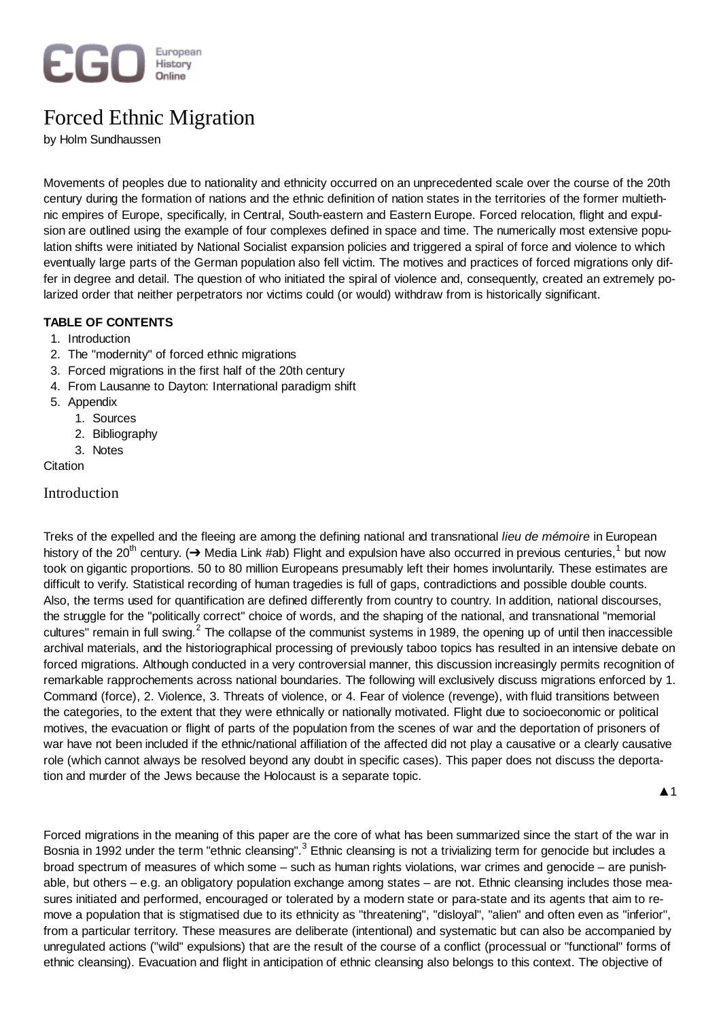

# Forced Ethnic Migration

by Holm Sundhaussen

Movements of peoples due to nationality and ethnicity occurred on an unprecedented scale over the course of the 20th century during the formation of nations and the ethnic definition of nation states in the territories of the former multiethnic empires of Europe, specifically, in Central, South-eastern and Eastern Europe. Forced relocation, flight and expulsion are outlined using the example of four complexes defined in space and time. The numerically most extensive population shifts were initiated by National Socialist expansion policies and triggered a spiral of force and violence to which eventually large parts of the German population also fell victim. The motives and practices of forced migrations only differ in degree and detail. The question of who initiated the spiral of violence and, consequently, created an extremely polarized order that neither perpetrators nor victims could (or would) withdraw from is historically significant.

# **TABLE OF CONTENTS**

- 1. Introduction
- 2. The "modernity" of forced ethnic migrations
- 3. Forced migrations in the first half of the 20th century
- 4. From Lausanne to Dayton: International paradigm shift
- 5. Appendix
	- 1. Sources
	- 2. Bibliography
	- 3. Notes
- **Citation**

# Introduction

Treks of the expelled and the fleeing are among the defining national and transnational *lieu de mémoire* in European history of the 20<sup>th</sup> century. ( $\to$  Media Link #ab) Flight and expulsion have also occurred in previous centuries,<sup>1</sup> but now took on gigantic proportions. 50 to 80 million Europeans presumably left their homes involuntarily. These estimates are difficult to verify. Statistical recording of human tragedies is full of gaps, contradictions and possible double counts. Also, the terms used for quantification are defined differently from country to country. In addition, national discourses, the struggle for the "politically correct" choice of words, and the shaping of the national, and transnational "memorial cultures" remain in full swing.<sup>2</sup> The collapse of the communist systems in 1989, the opening up of until then inaccessible archival materials, and the historiographical processing of previously taboo topics has resulted in an intensive debate on forced migrations. Although conducted in a very controversial manner, this discussion increasingly permits recognition of remarkable rapprochements across national boundaries. The following will exclusively discuss migrations enforced by 1. Command (force), 2. Violence, 3. Threats of violence, or 4. Fear of violence (revenge), with fluid transitions between the categories, to the extent that they were ethnically or nationally motivated. Flight due to socioeconomic or political motives, the evacuation or flight of parts of the population from the scenes of war and the deportation of prisoners of war have not been included if the ethnic/national affiliation of the affected did not play a causative or a clearly causative role (which cannot always be resolved beyond any doubt in specific cases). This paper does not discuss the deportation and murder of the Jews because the Holocaust is a separate topic.

 $\blacktriangle$  1

Forced migrations in the meaning of this paper are the core of what has been summarized since the start of the war in Bosnia in 1992 under the term "ethnic cleansing".<sup>3</sup> Ethnic cleansing is not a trivializing term for genocide but includes a broad spectrum of measures of which some – such as human rights violations, war crimes and genocide – are punishable, but others – e.g. an obligatory population exchange among states – are not. Ethnic cleansing includes those measures initiated and performed, encouraged or tolerated by a modern state or para-state and its agents that aim to remove a population that is stigmatised due to its ethnicity as "threatening", "disloyal", "alien" and often even as "inferior", from a particular territory. These measures are deliberate (intentional) and systematic but can also be accompanied by unregulated actions ("wild" expulsions) that are the result of the course of a conflict (processual or "functional" forms of ethnic cleansing). Evacuation and flight in anticipation of ethnic cleansing also belongs to this context. The objective of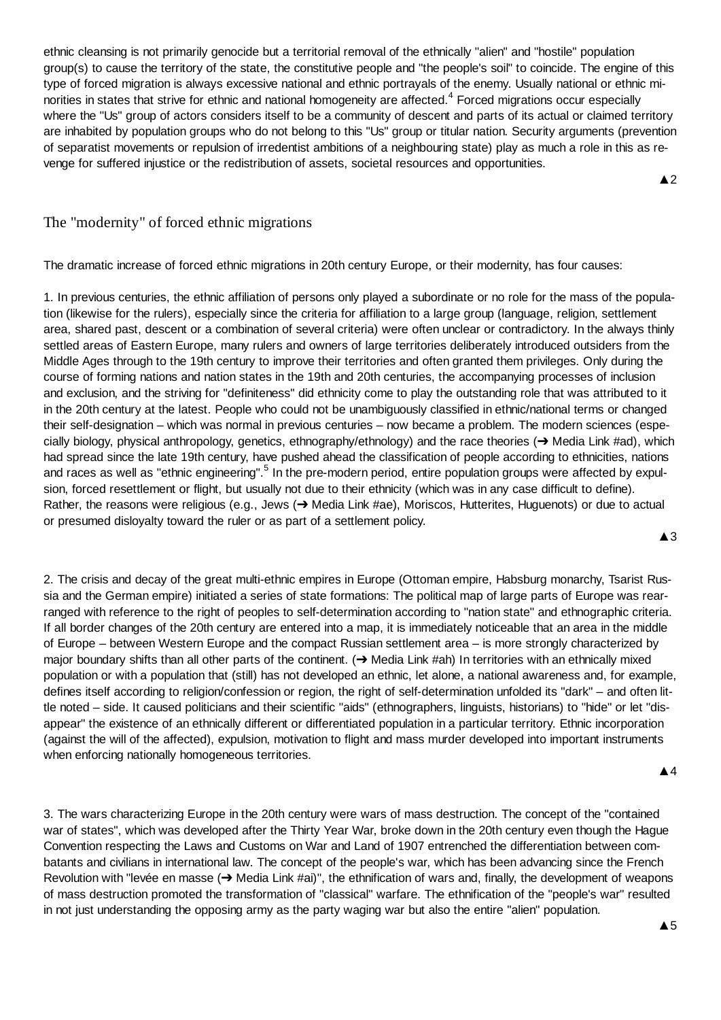ethnic cleansing is not primarily genocide but a territorial removal of the ethnically "alien" and "hostile" population group(s) to cause the territory of the state, the constitutive people and "the people's soil" to coincide. The engine of this type of forced migration is always excessive national and ethnic portrayals of the enemy. Usually national or ethnic minorities in states that strive for ethnic and national homogeneity are affected.<sup>4</sup> Forced migrations occur especially where the "Us" group of actors considers itself to be a community of descent and parts of its actual or claimed territory are inhabited by population groups who do not belong to this "Us" group or titular nation. Security arguments (prevention of separatist movements or repulsion of irredentist ambitions of a neighbouring state) play as much a role in this as revenge for suffered injustice or the redistribution of assets, societal resources and opportunities.

The "modernity" of forced ethnic migrations

The dramatic increase of forced ethnic migrations in 20th century Europe, or their modernity, has four causes:

1. In previous centuries, the ethnic affiliation of persons only played a subordinate or no role for the mass of the population (likewise for the rulers), especially since the criteria for affiliation to a large group (language, religion, settlement area, shared past, descent or a combination of several criteria) were often unclear or contradictory. In the always thinly settled areas of Eastern Europe, many rulers and owners of large territories deliberately introduced outsiders from the Middle Ages through to the 19th century to improve their territories and often granted them privileges. Only during the course of forming nations and nation states in the 19th and 20th centuries, the accompanying processes of inclusion and exclusion, and the striving for "definiteness" did ethnicity come to play the outstanding role that was attributed to it in the 20th century at the latest. People who could not be unambiguously classified in ethnic/national terms or changed their self-designation – which was normal in previous centuries – now became a problem. The modern sciences (especially biology, physical anthropology, genetics, ethnography/ethnology) and the race theories ( $\rightarrow$  Media Link #ad), which had spread since the late 19th century, have pushed ahead the classification of people according to ethnicities, nations and races as well as "ethnic engineering".<sup>5</sup> In the pre-modern period, entire population groups were affected by expulsion, forced resettlement or flight, but usually not due to their ethnicity (which was in any case difficult to define). Rather, the reasons were religious (e.g., Jews ( $\rightarrow$  Media Link #ae), Moriscos, Hutterites, Huguenots) or due to actual or presumed disloyalty toward the ruler or as part of a settlement policy.

2. The crisis and decay of the great multi-ethnic empires in Europe (Ottoman empire, Habsburg monarchy, Tsarist Russia and the German empire) initiated a series of state formations: The political map of large parts of Europe was rearranged with reference to the right of peoples to self-determination according to "nation state" and ethnographic criteria. If all border changes of the 20th century are entered into a map, it is immediately noticeable that an area in the middle of Europe – between Western Europe and the compact Russian settlement area – is more strongly characterized by major boundary shifts than all other parts of the continent.  $\rightarrow$  Media Link #ah) In territories with an ethnically mixed population or with a population that (still) has not developed an ethnic, let alone, a national awareness and, for example, defines itself according to religion/confession or region, the right of self-determination unfolded its "dark" – and often little noted – side. It caused politicians and their scientific "aids" (ethnographers, linguists, historians) to "hide" or let "disappear" the existence of an ethnically different or differentiated population in a particular territory. Ethnic incorporation (against the will of the affected), expulsion, motivation to flight and mass murder developed into important instruments when enforcing nationally homogeneous territories.

Ÿ4

 $\triangle$ 3

 $\triangle$  2

3. The wars characterizing Europe in the 20th century were wars of mass destruction. The concept of the "contained war of states", which was developed after the Thirty Year War, broke down in the 20th century even though the Hague Convention respecting the Laws and Customs on War and Land of 1907 entrenched the differentiation between combatants and civilians in international law. The concept of the people's war, which has been advancing since the French Revolution with "levée en masse  $(\rightarrow$  Media Link #ai)", the ethnification of wars and, finally, the development of weapons of mass destruction promoted the transformation of "classical" warfare. The ethnification of the "people's war" resulted in not just understanding the opposing army as the party waging war but also the entire "alien" population.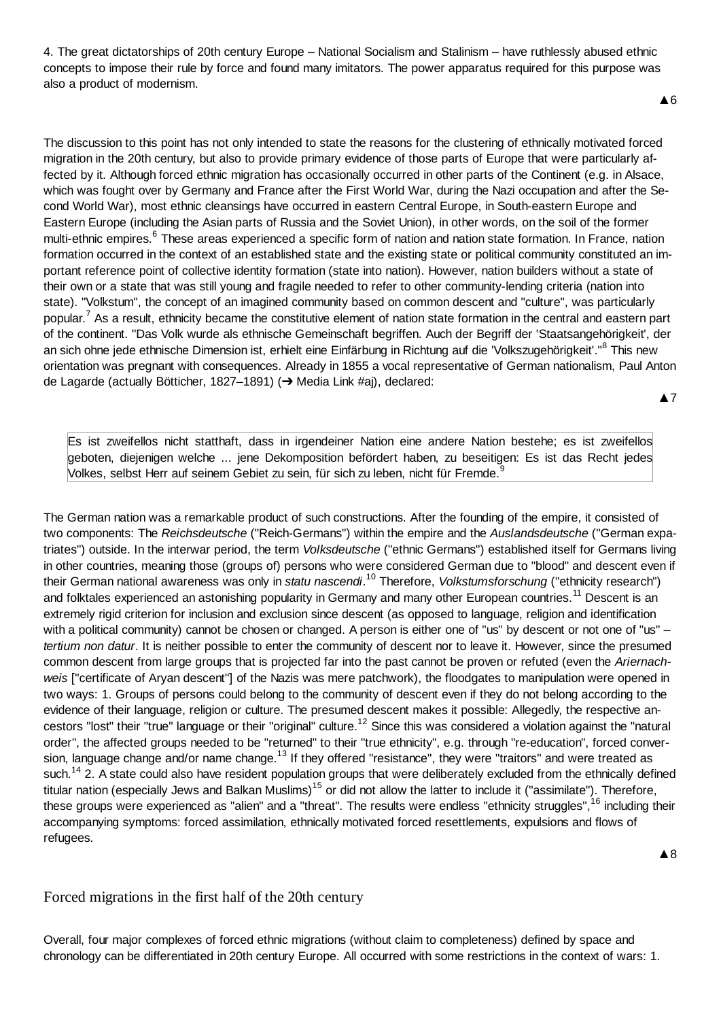4. The great dictatorships of 20th century Europe – National Socialism and Stalinism – have ruthlessly abused ethnic concepts to impose their rule by force and found many imitators. The power apparatus required for this purpose was also a product of modernism.

**▲6** 

The discussion to this point has not only intended to state the reasons for the clustering of ethnically motivated forced migration in the 20th century, but also to provide primary evidence of those parts of Europe that were particularly affected by it. Although forced ethnic migration has occasionally occurred in other parts of the Continent (e.g. in Alsace, which was fought over by Germany and France after the First World War, during the Nazi occupation and after the Second World War), most ethnic cleansings have occurred in eastern Central Europe, in South-eastern Europe and Eastern Europe (including the Asian parts of Russia and the Soviet Union), in other words, on the soil of the former multi-ethnic empires.<sup>6</sup> These areas experienced a specific form of nation and nation state formation. In France, nation formation occurred in the context of an established state and the existing state or political community constituted an important reference point of collective identity formation (state into nation). However, nation builders without a state of their own or a state that was still young and fragile needed to refer to other community-lending criteria (nation into state). "Volkstum", the concept of an imagined community based on common descent and "culture", was particularly popular.<sup>7</sup> As a result, ethnicity became the constitutive element of nation state formation in the central and eastern part of the continent. "Das Volk wurde als ethnische Gemeinschaft begriffen. Auch der Begriff der 'Staatsangehörigkeit', der an sich ohne jede ethnische Dimension ist, erhielt eine Einfärbung in Richtung auf die 'Volkszugehörigkeit'."<sup>8</sup> This new orientation was pregnant with consequences. Already in 1855 a vocal representative of German nationalism, Paul Anton de Lagarde (actually Bötticher, 1827–1891) (→ Media Link #aj), declared:

**A7** 

Es ist zweifellos nicht statthaft, dass in irgendeiner Nation eine andere Nation bestehe; es ist zweifellos geboten, diejenigen welche ... jene Dekomposition befördert haben, zu beseitigen: Es ist das Recht jedes Volkes, selbst Herr auf seinem Gebiet zu sein, für sich zu leben, nicht für Fremde. $9$ 

The German nation was a remarkable product of such constructions. After the founding of the empire, it consisted of two components: The *Reichsdeutsche* ("Reich-Germans") within the empire and the *Auslandsdeutsche* ("German expatriates") outside. In the interwar period, the term *Volksdeutsche* ("ethnic Germans") established itself for Germans living in other countries, meaning those (groups of) persons who were considered German due to "blood" and descent even if their German national awareness was only in *statu nascendi*. <sup>10</sup> Therefore, *Volkstumsforschung* ("ethnicity research") and folktales experienced an astonishing popularity in Germany and many other European countries.<sup>11</sup> Descent is an extremely rigid criterion for inclusion and exclusion since descent (as opposed to language, religion and identification with a political community) cannot be chosen or changed. A person is either one of "us" by descent or not one of "us" *tertium non datur*. It is neither possible to enter the community of descent nor to leave it. However, since the presumed common descent from large groups that is projected far into the past cannot be proven or refuted (even the *Ariernachweis* ["certificate of Aryan descent"] of the Nazis was mere patchwork), the floodgates to manipulation were opened in two ways: 1. Groups of persons could belong to the community of descent even if they do not belong according to the evidence of their language, religion or culture. The presumed descent makes it possible: Allegedly, the respective ancestors "lost" their "true" language or their "original" culture.<sup>12</sup> Since this was considered a violation against the "natural order", the affected groups needed to be "returned" to their "true ethnicity", e.g. through "re-education", forced conversion, language change and/or name change.<sup>13</sup> If they offered "resistance", they were "traitors" and were treated as such.<sup>14</sup> 2. A state could also have resident population groups that were deliberately excluded from the ethnically defined titular nation (especially Jews and Balkan Muslims)<sup>15</sup> or did not allow the latter to include it ("assimilate"). Therefore, these groups were experienced as "alien" and a "threat". The results were endless "ethnicity struggles", <sup>16</sup> including their accompanying symptoms: forced assimilation, ethnically motivated forced resettlements, expulsions and flows of refugees.

Forced migrations in the first half of the 20th century

Overall, four major complexes of forced ethnic migrations (without claim to completeness) defined by space and chronology can be differentiated in 20th century Europe. All occurred with some restrictions in the context of wars: 1.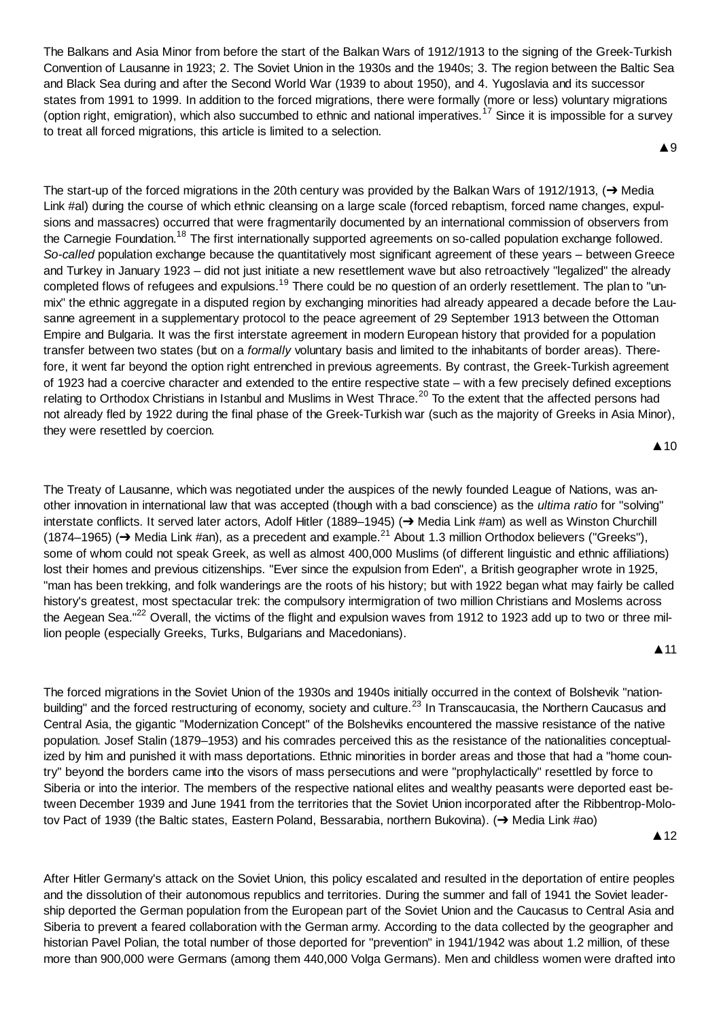The Balkans and Asia Minor from before the start of the Balkan Wars of 1912/1913 to the signing of the Greek-Turkish Convention of Lausanne in 1923; 2. The Soviet Union in the 1930s and the 1940s; 3. The region between the Baltic Sea and Black Sea during and after the Second World War (1939 to about 1950), and 4. Yugoslavia and its successor states from 1991 to 1999. In addition to the forced migrations, there were formally (more or less) voluntary migrations (option right, emigration), which also succumbed to ethnic and national imperatives.<sup>17</sup> Since it is impossible for a survey to treat all forced migrations, this article is limited to a selection.

**▲**9

The start-up of the forced migrations in the 20th century was provided by the Balkan Wars of 1912/1913,  $\rightarrow$  Media Link #al) during the course of which ethnic cleansing on a large scale (forced rebaptism, forced name changes, expulsions and massacres) occurred that were fragmentarily documented by an international commission of observers from the Carnegie Foundation.<sup>18</sup> The first internationally supported agreements on so-called population exchange followed. *So-called* population exchange because the quantitatively most significant agreement of these years – between Greece and Turkey in January 1923 – did not just initiate a new resettlement wave but also retroactively "legalized" the already completed flows of refugees and expulsions.<sup>19</sup> There could be no question of an orderly resettlement. The plan to "unmix" the ethnic aggregate in a disputed region by exchanging minorities had already appeared a decade before the Lausanne agreement in a supplementary protocol to the peace agreement of 29 September 1913 between the Ottoman Empire and Bulgaria. It was the first interstate agreement in modern European history that provided for a population transfer between two states (but on a *formally* voluntary basis and limited to the inhabitants of border areas). Therefore, it went far beyond the option right entrenched in previous agreements. By contrast, the Greek-Turkish agreement of 1923 had a coercive character and extended to the entire respective state – with a few precisely defined exceptions relating to Orthodox Christians in Istanbul and Muslims in West Thrace.<sup>20</sup> To the extent that the affected persons had not already fled by 1922 during the final phase of the Greek-Turkish war (such as the majority of Greeks in Asia Minor), they were resettled by coercion.

 $\triangle$  10

The Treaty of Lausanne, which was negotiated under the auspices of the newly founded League of Nations, was another innovation in international law that was accepted (though with a bad conscience) as the *ultima ratio* for "solving" interstate conflicts. It served later actors, Adolf Hitler (1889–1945) (→ Media Link #am) as well as Winston Churchill (1874–1965) ( $\rightarrow$  Media Link #an), as a precedent and example.<sup>21</sup> About 1.3 million Orthodox believers ("Greeks"), some of whom could not speak Greek, as well as almost 400,000 Muslims (of different linguistic and ethnic affiliations) lost their homes and previous citizenships. "Ever since the expulsion from Eden", a British geographer wrote in 1925, "man has been trekking, and folk wanderings are the roots of his history; but with 1922 began what may fairly be called history's greatest, most spectacular trek: the compulsory intermigration of two million Christians and Moslems across the Aegean Sea."<sup>22</sup> Overall, the victims of the flight and expulsion waves from 1912 to 1923 add up to two or three million people (especially Greeks, Turks, Bulgarians and Macedonians).

 $\blacktriangle$  11

The forced migrations in the Soviet Union of the 1930s and 1940s initially occurred in the context of Bolshevik "nationbuilding" and the forced restructuring of economy, society and culture.<sup>23</sup> In Transcaucasia, the Northern Caucasus and Central Asia, the gigantic "Modernization Concept" of the Bolsheviks encountered the massive resistance of the native population. Josef Stalin (1879–1953) and his comrades perceived this as the resistance of the nationalities conceptualized by him and punished it with mass deportations. Ethnic minorities in border areas and those that had a "home country" beyond the borders came into the visors of mass persecutions and were "prophylactically" resettled by force to Siberia or into the interior. The members of the respective national elites and wealthy peasants were deported east between December 1939 and June 1941 from the territories that the Soviet Union incorporated after the Ribbentrop-Molotov Pact of 1939 (the Baltic states, Eastern Poland, Bessarabia, northern Bukovina). (→ Media Link #ao)

**▲12** 

After Hitler Germany's attack on the Soviet Union, this policy escalated and resulted in the deportation of entire peoples and the dissolution of their autonomous republics and territories. During the summer and fall of 1941 the Soviet leadership deported the German population from the European part of the Soviet Union and the Caucasus to Central Asia and Siberia to prevent a feared collaboration with the German army. According to the data collected by the geographer and historian Pavel Polian, the total number of those deported for "prevention" in 1941/1942 was about 1.2 million, of these more than 900,000 were Germans (among them 440,000 Volga Germans). Men and childless women were drafted into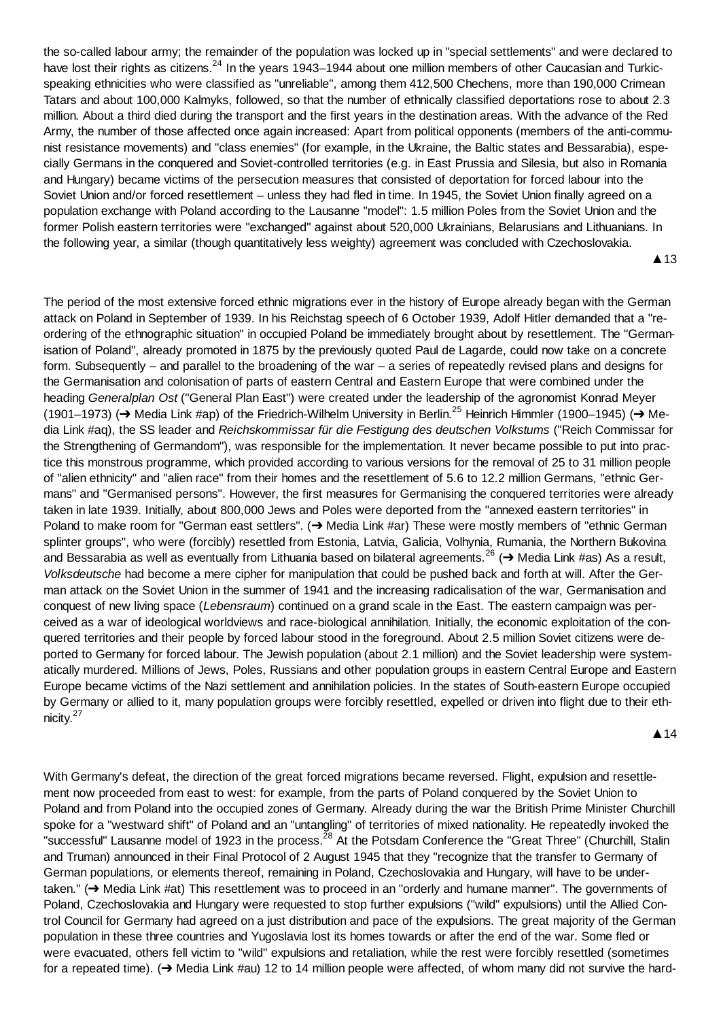the so-called labour army; the remainder of the population was locked up in "special settlements" and were declared to have lost their rights as citizens.<sup>24</sup> In the years 1943–1944 about one million members of other Caucasian and Turkicspeaking ethnicities who were classified as "unreliable", among them 412,500 Chechens, more than 190,000 Crimean Tatars and about 100,000 Kalmyks, followed, so that the number of ethnically classified deportations rose to about 2.3 million. About a third died during the transport and the first years in the destination areas. With the advance of the Red Army, the number of those affected once again increased: Apart from political opponents (members of the anti-communist resistance movements) and "class enemies" (for example, in the Ukraine, the Baltic states and Bessarabia), especially Germans in the conquered and Soviet-controlled territories (e.g. in East Prussia and Silesia, but also in Romania and Hungary) became victims of the persecution measures that consisted of deportation for forced labour into the Soviet Union and/or forced resettlement – unless they had fled in time. In 1945, the Soviet Union finally agreed on a population exchange with Poland according to the Lausanne "model": 1.5 million Poles from the Soviet Union and the former Polish eastern territories were "exchanged" against about 520,000 Ukrainians, Belarusians and Lithuanians. In the following year, a similar (though quantitatively less weighty) agreement was concluded with Czechoslovakia.

▲13

The period of the most extensive forced ethnic migrations ever in the history of Europe already began with the German attack on Poland in September of 1939. In his Reichstag speech of 6 October 1939, Adolf Hitler demanded that a "reordering of the ethnographic situation" in occupied Poland be immediately brought about by resettlement. The "Germanisation of Poland", already promoted in 1875 by the previously quoted Paul de Lagarde, could now take on a concrete form. Subsequently – and parallel to the broadening of the war – a series of repeatedly revised plans and designs for the Germanisation and colonisation of parts of eastern Central and Eastern Europe that were combined under the heading *Generalplan Ost* ("General Plan East") were created under the leadership of the agronomist Konrad Meyer (1901–1973) ( $\rightarrow$  Media Link #ap) of the Friedrich-Wilhelm University in Berlin.<sup>25</sup> Heinrich Himmler (1900–1945) ( $\rightarrow$  Media Link #aq), the SS leader and *Reichskommissar für die Festigung des deutschen Volkstums* ("Reich Commissar for the Strengthening of Germandom"), was responsible for the implementation. It never became possible to put into practice this monstrous programme, which provided according to various versions for the removal of 25 to 31 million people of "alien ethnicity" and "alien race" from their homes and the resettlement of 5.6 to 12.2 million Germans, "ethnic Germans" and "Germanised persons". However, the first measures for Germanising the conquered territories were already taken in late 1939. Initially, about 800,000 Jews and Poles were deported from the "annexed eastern territories" in Poland to make room for "German east settlers".  $\leftrightarrow$  Media Link #ar) These were mostly members of "ethnic German splinter groups", who were (forcibly) resettled from Estonia, Latvia, Galicia, Volhynia, Rumania, the Northern Bukovina and Bessarabia as well as eventually from Lithuania based on bilateral agreements.<sup>26</sup> ( $\rightarrow$  Media Link #as) As a result, *Volksdeutsche* had become a mere cipher for manipulation that could be pushed back and forth at will. After the German attack on the Soviet Union in the summer of 1941 and the increasing radicalisation of the war, Germanisation and conquest of new living space (*Lebensraum*) continued on a grand scale in the East. The eastern campaign was perceived as a war of ideological worldviews and race-biological annihilation. Initially, the economic exploitation of the conquered territories and their people by forced labour stood in the foreground. About 2.5 million Soviet citizens were deported to Germany for forced labour. The Jewish population (about 2.1 million) and the Soviet leadership were systematically murdered. Millions of Jews, Poles, Russians and other population groups in eastern Central Europe and Eastern Europe became victims of the Nazi settlement and annihilation policies. In the states of South-eastern Europe occupied by Germany or allied to it, many population groups were forcibly resettled, expelled or driven into flight due to their ethnicity.<sup>27</sup>

**▲14** 

With Germany's defeat, the direction of the great forced migrations became reversed. Flight, expulsion and resettlement now proceeded from east to west: for example, from the parts of Poland conquered by the Soviet Union to Poland and from Poland into the occupied zones of Germany. Already during the war the British Prime Minister Churchill spoke for a "westward shift" of Poland and an "untangling" of territories of mixed nationality. He repeatedly invoked the "successful" Lausanne model of 1923 in the process.<sup>28</sup> At the Potsdam Conference the "Great Three" (Churchill, Stalin and Truman) announced in their Final Protocol of 2 August 1945 that they "recognize that the transfer to Germany of German populations, or elements thereof, remaining in Poland, Czechoslovakia and Hungary, will have to be undertaken." ( $\rightarrow$  Media Link #at) This resettlement was to proceed in an "orderly and humane manner". The governments of Poland, Czechoslovakia and Hungary were requested to stop further expulsions ("wild" expulsions) until the Allied Control Council for Germany had agreed on a just distribution and pace of the expulsions. The great majority of the German population in these three countries and Yugoslavia lost its homes towards or after the end of the war. Some fled or were evacuated, others fell victim to "wild" expulsions and retaliation, while the rest were forcibly resettled (sometimes for a repeated time). ( $\rightarrow$  Media Link #au) 12 to 14 million people were affected, of whom many did not survive the hard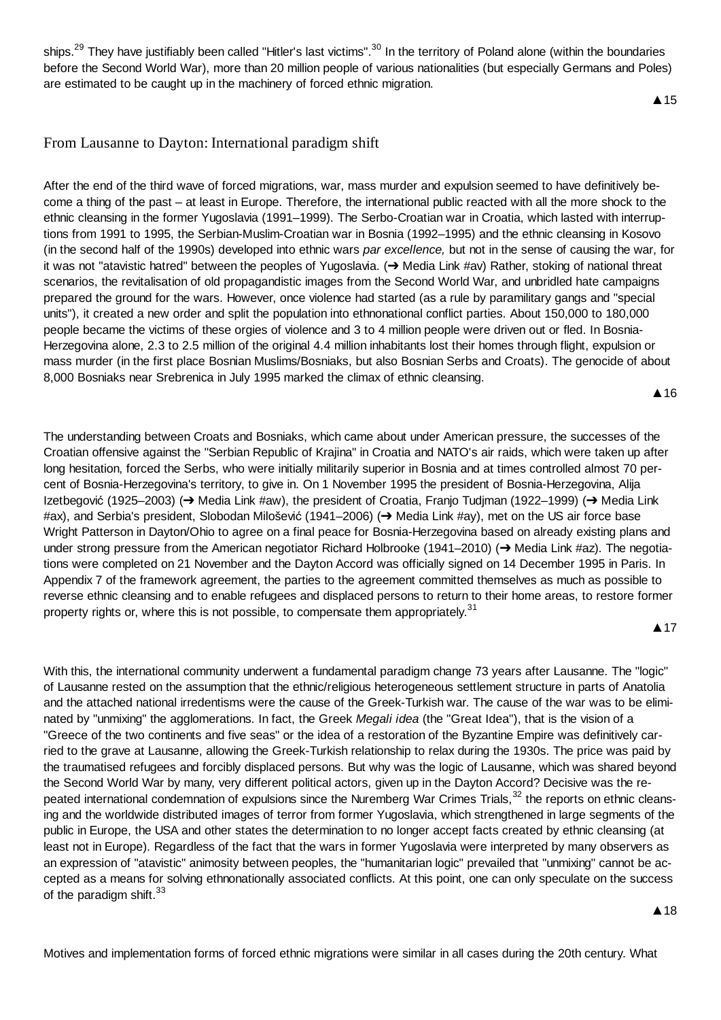ships.<sup>29</sup> They have justifiably been called "Hitler's last victims".<sup>30</sup> In the territory of Poland alone (within the boundaries before the Second World War), more than 20 million people of various nationalities (but especially Germans and Poles) are estimated to be caught up in the machinery of forced ethnic migration.

**▲**15

# From Lausanne to Dayton: International paradigm shift

After the end of the third wave of forced migrations, war, mass murder and expulsion seemed to have definitively become a thing of the past – at least in Europe. Therefore, the international public reacted with all the more shock to the ethnic cleansing in the former Yugoslavia (1991–1999). The Serbo-Croatian war in Croatia, which lasted with interruptions from 1991 to 1995, the Serbian-Muslim-Croatian war in Bosnia (1992–1995) and the ethnic cleansing in Kosovo (in the second half of the 1990s) developed into ethnic wars *par excellence,* but not in the sense of causing the war, for it was not "atavistic hatred" between the peoples of Yugoslavia.  $\rightarrow$  Media Link #av) Rather, stoking of national threat scenarios, the revitalisation of old propagandistic images from the Second World War, and unbridled hate campaigns prepared the ground for the wars. However, once violence had started (as a rule by paramilitary gangs and "special units"), it created a new order and split the population into ethnonational conflict parties. About 150,000 to 180,000 people became the victims of these orgies of violence and 3 to 4 million people were driven out or fled. In Bosnia-Herzegovina alone, 2.3 to 2.5 million of the original 4.4 million inhabitants lost their homes through flight, expulsion or mass murder (in the first place Bosnian Muslims/Bosniaks, but also Bosnian Serbs and Croats). The genocide of about 8,000 Bosniaks near Srebrenica in July 1995 marked the climax of ethnic cleansing.

**A** 16

The understanding between Croats and Bosniaks, which came about under American pressure, the successes of the Croatian offensive against the "Serbian Republic of Krajina" in Croatia and NATO's air raids, which were taken up after long hesitation, forced the Serbs, who were initially militarily superior in Bosnia and at times controlled almost 70 percent of Bosnia-Herzegovina's territory, to give in. On 1 November 1995 the president of Bosnia-Herzegovina, Alija Izetbegović (1925–2003) (→ Media Link #aw), the president of Croatia, Franjo Tudjman (1922–1999) (→ Media Link #ax), and Serbia's president, Slobodan Milošević (1941–2006) (→ Media Link #ay), met on the US air force base Wright Patterson in Dayton/Ohio to agree on a final peace for Bosnia-Herzegovina based on already existing plans and under strong pressure from the American negotiator Richard Holbrooke (1941–2010) ( $\rightarrow$  Media Link #az). The negotiations were completed on 21 November and the Dayton Accord was officially signed on 14 December 1995 in Paris. In Appendix 7 of the framework agreement, the parties to the agreement committed themselves as much as possible to reverse ethnic cleansing and to enable refugees and displaced persons to return to their home areas, to restore former property rights or, where this is not possible, to compensate them appropriately.<sup>31</sup>

#### **▲17**

With this, the international community underwent a fundamental paradigm change 73 years after Lausanne. The "logic" of Lausanne rested on the assumption that the ethnic/religious heterogeneous settlement structure in parts of Anatolia and the attached national irredentisms were the cause of the Greek-Turkish war. The cause of the war was to be eliminated by "unmixing" the agglomerations. In fact, the Greek *Megali idea* (the "Great Idea"), that is the vision of a "Greece of the two continents and five seas" or the idea of a restoration of the Byzantine Empire was definitively carried to the grave at Lausanne, allowing the Greek-Turkish relationship to relax during the 1930s. The price was paid by the traumatised refugees and forcibly displaced persons. But why was the logic of Lausanne, which was shared beyond the Second World War by many, very different political actors, given up in the Dayton Accord? Decisive was the repeated international condemnation of expulsions since the Nuremberg War Crimes Trials,<sup>32</sup> the reports on ethnic cleansing and the worldwide distributed images of terror from former Yugoslavia, which strengthened in large segments of the public in Europe, the USA and other states the determination to no longer accept facts created by ethnic cleansing (at least not in Europe). Regardless of the fact that the wars in former Yugoslavia were interpreted by many observers as an expression of "atavistic" animosity between peoples, the "humanitarian logic" prevailed that "unmixing" cannot be accepted as a means for solving ethnonationally associated conflicts. At this point, one can only speculate on the success of the paradigm shift. $33$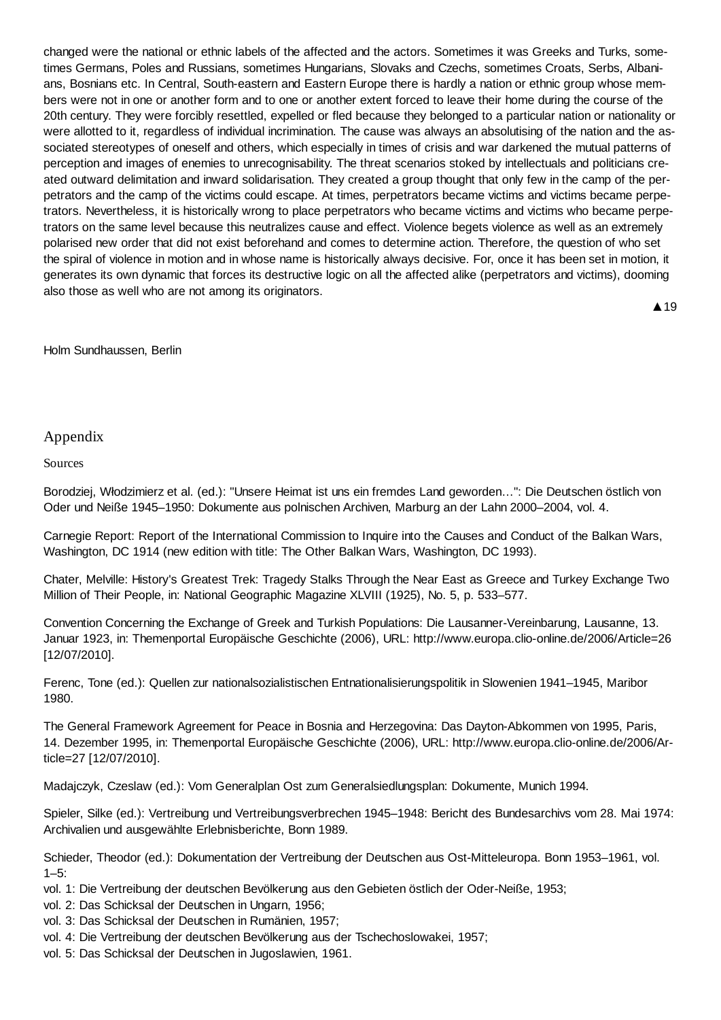changed were the national or ethnic labels of the affected and the actors. Sometimes it was Greeks and Turks, sometimes Germans, Poles and Russians, sometimes Hungarians, Slovaks and Czechs, sometimes Croats, Serbs, Albanians, Bosnians etc. In Central, South-eastern and Eastern Europe there is hardly a nation or ethnic group whose members were not in one or another form and to one or another extent forced to leave their home during the course of the 20th century. They were forcibly resettled, expelled or fled because they belonged to a particular nation or nationality or were allotted to it, regardless of individual incrimination. The cause was always an absolutising of the nation and the associated stereotypes of oneself and others, which especially in times of crisis and war darkened the mutual patterns of perception and images of enemies to unrecognisability. The threat scenarios stoked by intellectuals and politicians created outward delimitation and inward solidarisation. They created a group thought that only few in the camp of the perpetrators and the camp of the victims could escape. At times, perpetrators became victims and victims became perpetrators. Nevertheless, it is historically wrong to place perpetrators who became victims and victims who became perpetrators on the same level because this neutralizes cause and effect. Violence begets violence as well as an extremely polarised new order that did not exist beforehand and comes to determine action. Therefore, the question of who set the spiral of violence in motion and in whose name is historically always decisive. For, once it has been set in motion, it generates its own dynamic that forces its destructive logic on all the affected alike (perpetrators and victims), dooming also those as well who are not among its originators.

▲ 19

#### Holm Sundhaussen, Berlin

#### Appendix

Sources

Borodziej, Włodzimierz et al. (ed.): "Unsere Heimat ist uns ein fremdes Land geworden...": Die Deutschen östlich von Oder und Neiße 1945–1950: Dokumente aus polnischen Archiven, Marburg an der Lahn 2000–2004, vol. 4.

Carnegie Report: Report of the International Commission to Inquire into the Causes and Conduct of the Balkan Wars, Washington, DC 1914 (new edition with title: The Other Balkan Wars, Washington, DC 1993).

Chater, Melville: History's Greatest Trek: Tragedy Stalks Through the Near East as Greece and Turkey Exchange Two Million of Their People, in: National Geographic Magazine XLVIII (1925), No. 5, p. 533–577.

Convention Concerning the Exchange of Greek and Turkish Populations: Die Lausanner-Vereinbarung, Lausanne, 13. Januar 1923, in: Themenportal Europäische Geschichte (2006), URL: http://www.europa.clio-online.de/2006/Article=26 [12/07/2010].

Ferenc, Tone (ed.): Quellen zur nationalsozialistischen Entnationalisierungspolitik in Slowenien 1941–1945, Maribor 1980.

The General Framework Agreement for Peace in Bosnia and Herzegovina: Das Dayton-Abkommen von 1995, Paris, 14. Dezember 1995, in: Themenportal Europäische Geschichte (2006), URL: http://www.europa.clio-online.de/2006/Article=27 [12/07/2010].

Madajczyk, Czeslaw (ed.): Vom Generalplan Ost zum Generalsiedlungsplan: Dokumente, Munich 1994.

Spieler, Silke (ed.): Vertreibung und Vertreibungsverbrechen 1945–1948: Bericht des Bundesarchivs vom 28. Mai 1974: Archivalien und ausgewählte Erlebnisberichte, Bonn 1989.

Schieder, Theodor (ed.): Dokumentation der Vertreibung der Deutschen aus Ost-Mitteleuropa. Bonn 1953–1961, vol.  $1 - 5$ :

vol. 1: Die Vertreibung der deutschen Bevölkerung aus den Gebieten östlich der Oder-Neiße, 1953;

vol. 2: Das Schicksal der Deutschen in Ungarn, 1956;

vol. 3: Das Schicksal der Deutschen in Rumänien, 1957;

vol. 4: Die Vertreibung der deutschen Bevölkerung aus der Tschechoslowakei, 1957;

vol. 5: Das Schicksal der Deutschen in Jugoslawien, 1961.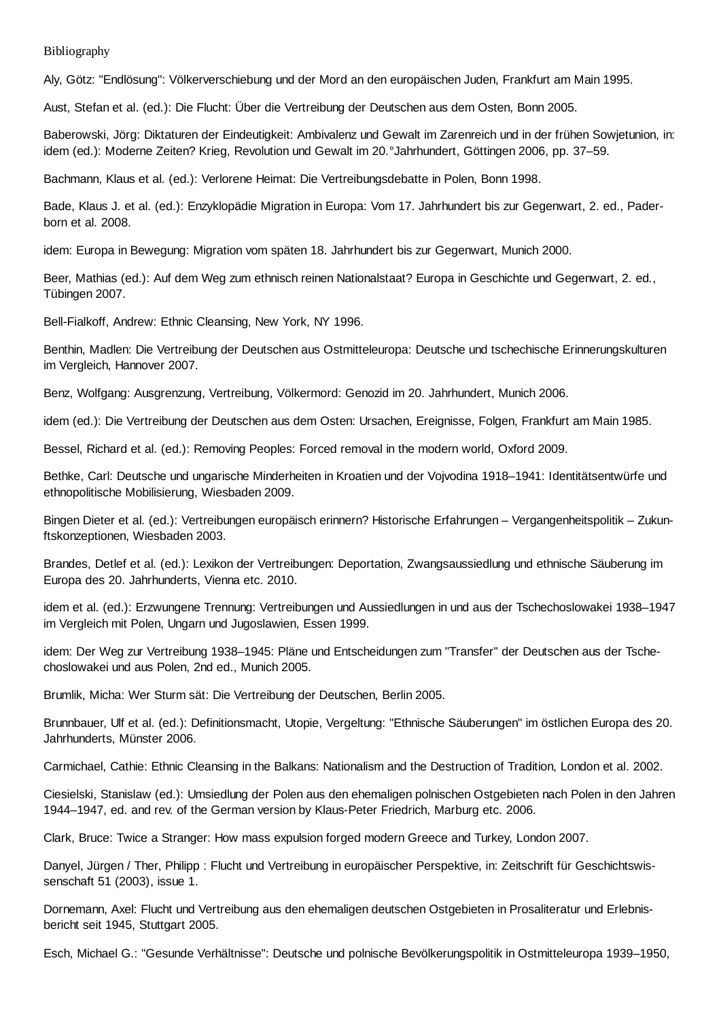Bibliography

Aly, Götz: "Endlösung": Völkerverschiebung und der Mord an den europäischen Juden, Frankfurt am Main 1995.

Aust, Stefan et al. (ed.): Die Flucht: Über die Vertreibung der Deutschen aus dem Osten, Bonn 2005.

Baberowski, Jörg: Diktaturen der Eindeutigkeit: Ambivalenz und Gewalt im Zarenreich und in der frühen Sowjetunion, in: idem (ed.): Moderne Zeiten? Krieg, Revolution und Gewalt im 20.°Jahrhundert, Göttingen 2006, pp. 37–59.

Bachmann, Klaus et al. (ed.): Verlorene Heimat: Die Vertreibungsdebatte in Polen, Bonn 1998.

Bade, Klaus J. et al. (ed.): Enzyklopädie Migration in Europa: Vom 17. Jahrhundert bis zur Gegenwart, 2. ed., Paderborn et al. 2008.

idem: Europa in Bewegung: Migration vom späten 18. Jahrhundert bis zur Gegenwart, Munich 2000.

Beer, Mathias (ed.): Auf dem Weg zum ethnisch reinen Nationalstaat? Europa in Geschichte und Gegenwart, 2. ed., Tübingen 2007.

Bell-Fialkoff, Andrew: Ethnic Cleansing, New York, NY 1996.

Benthin, Madlen: Die Vertreibung der Deutschen aus Ostmitteleuropa: Deutsche und tschechische Erinnerungskulturen im Vergleich, Hannover 2007.

Benz, Wolfgang: Ausgrenzung, Vertreibung, Völkermord: Genozid im 20. Jahrhundert, Munich 2006.

idem (ed.): Die Vertreibung der Deutschen aus dem Osten: Ursachen, Ereignisse, Folgen, Frankfurt am Main 1985.

Bessel, Richard et al. (ed.): Removing Peoples: Forced removal in the modern world, Oxford 2009.

Bethke, Carl: Deutsche und ungarische Minderheiten in Kroatien und der Vojvodina 1918–1941: Identitätsentwürfe und ethnopolitische Mobilisierung, Wiesbaden 2009.

Bingen Dieter et al. (ed.): Vertreibungen europäisch erinnern? Historische Erfahrungen – Vergangenheitspolitik – Zukunftskonzeptionen, Wiesbaden 2003.

Brandes, Detlef et al. (ed.): Lexikon der Vertreibungen: Deportation, Zwangsaussiedlung und ethnische Säuberung im Europa des 20. Jahrhunderts, Vienna etc. 2010.

idem et al. (ed.): Erzwungene Trennung: Vertreibungen und Aussiedlungen in und aus der Tschechoslowakei 1938–1947 im Vergleich mit Polen, Ungarn und Jugoslawien, Essen 1999.

idem: Der Weg zur Vertreibung 1938–1945: Pläne und Entscheidungen zum "Transfer" der Deutschen aus der Tschechoslowakei und aus Polen, 2nd ed., Munich 2005.

Brumlik, Micha: Wer Sturm sät: Die Vertreibung der Deutschen, Berlin 2005.

Brunnbauer, Ulf et al. (ed.): Definitionsmacht, Utopie, Vergeltung: "Ethnische Säuberungen" im östlichen Europa des 20. Jahrhunderts, Münster 2006.

Carmichael, Cathie: Ethnic Cleansing in the Balkans: Nationalism and the Destruction of Tradition, London et al. 2002.

Ciesielski, Stanislaw (ed.): Umsiedlung der Polen aus den ehemaligen polnischen Ostgebieten nach Polen in den Jahren 1944–1947, ed. and rev. of the German version by Klaus-Peter Friedrich, Marburg etc. 2006.

Clark, Bruce: Twice a Stranger: How mass expulsion forged modern Greece and Turkey, London 2007.

Danyel, Jürgen / Ther, Philipp : Flucht und Vertreibung in europäischer Perspektive, in: Zeitschrift für Geschichtswissenschaft 51 (2003), issue 1.

Dornemann, Axel: Flucht und Vertreibung aus den ehemaligen deutschen Ostgebieten in Prosaliteratur und Erlebnisbericht seit 1945, Stuttgart 2005.

Esch, Michael G.: "Gesunde Verhältnisse": Deutsche und polnische Bevölkerungspolitik in Ostmitteleuropa 1939–1950,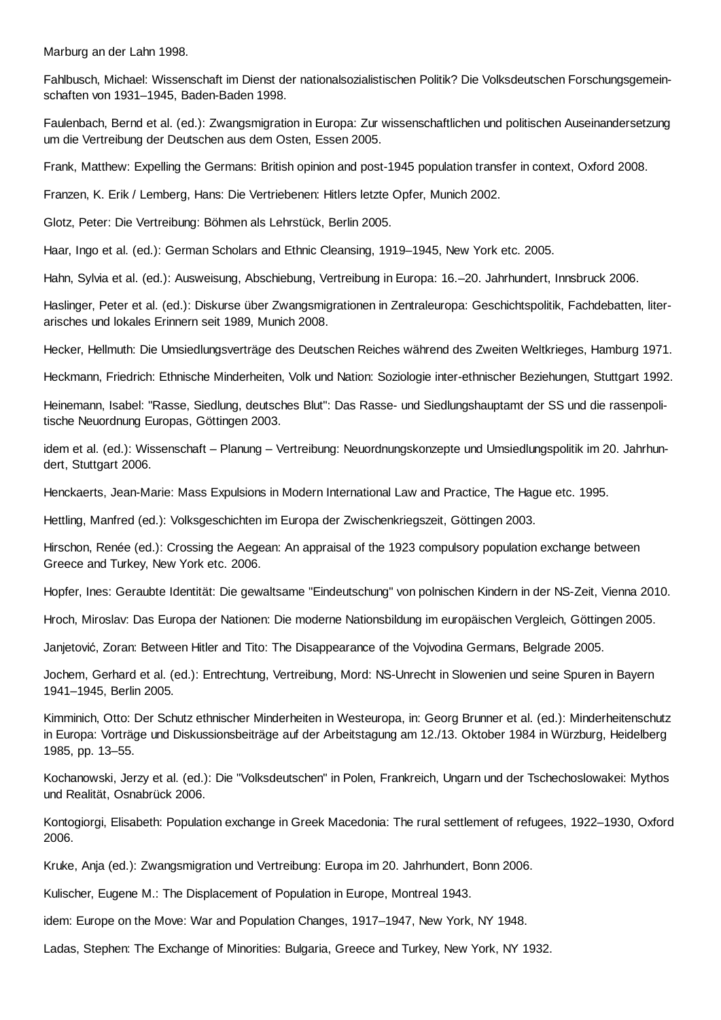Marburg an der Lahn 1998.

Fahlbusch, Michael: Wissenschaft im Dienst der nationalsozialistischen Politik? Die Volksdeutschen Forschungsgemeinschaften von 1931–1945, Baden-Baden 1998.

Faulenbach, Bernd et al. (ed.): Zwangsmigration in Europa: Zur wissenschaftlichen und politischen Auseinandersetzung um die Vertreibung der Deutschen aus dem Osten, Essen 2005.

Frank, Matthew: Expelling the Germans: British opinion and post-1945 population transfer in context, Oxford 2008.

Franzen, K. Erik / Lemberg, Hans: Die Vertriebenen: Hitlers letzte Opfer, Munich 2002.

Glotz, Peter: Die Vertreibung: Böhmen als Lehrstück, Berlin 2005.

Haar, Ingo et al. (ed.): German Scholars and Ethnic Cleansing, 1919–1945, New York etc. 2005.

Hahn, Sylvia et al. (ed.): Ausweisung, Abschiebung, Vertreibung in Europa: 16.–20. Jahrhundert, Innsbruck 2006.

Haslinger, Peter et al. (ed.): Diskurse über Zwangsmigrationen in Zentraleuropa: Geschichtspolitik, Fachdebatten, literarisches und lokales Erinnern seit 1989, Munich 2008.

Hecker, Hellmuth: Die Umsiedlungsverträge des Deutschen Reiches während des Zweiten Weltkrieges, Hamburg 1971.

Heckmann, Friedrich: Ethnische Minderheiten, Volk und Nation: Soziologie inter-ethnischer Beziehungen, Stuttgart 1992.

Heinemann, Isabel: "Rasse, Siedlung, deutsches Blut": Das Rasse- und Siedlungshauptamt der SS und die rassenpolitische Neuordnung Europas, Göttingen 2003.

idem et al. (ed.): Wissenschaft – Planung – Vertreibung: Neuordnungskonzepte und Umsiedlungspolitik im 20. Jahrhundert, Stuttgart 2006.

Henckaerts, Jean-Marie: Mass Expulsions in Modern International Law and Practice, The Hague etc. 1995.

Hettling, Manfred (ed.): Volksgeschichten im Europa der Zwischenkriegszeit, Göttingen 2003.

Hirschon, Renée (ed.): Crossing the Aegean: An appraisal of the 1923 compulsory population exchange between Greece and Turkey, New York etc. 2006.

Hopfer, Ines: Geraubte Identität: Die gewaltsame "Eindeutschung" von polnischen Kindern in der NS-Zeit, Vienna 2010.

Hroch, Miroslav: Das Europa der Nationen: Die moderne Nationsbildung im europäischen Vergleich, Göttingen 2005.

Janjetović, Zoran: Between Hitler and Tito: The Disappearance of the Voivodina Germans, Belgrade 2005.

Jochem, Gerhard et al. (ed.): Entrechtung, Vertreibung, Mord: NS-Unrecht in Slowenien und seine Spuren in Bayern 1941–1945, Berlin 2005.

Kimminich, Otto: Der Schutz ethnischer Minderheiten in Westeuropa, in: Georg Brunner et al. (ed.): Minderheitenschutz in Europa: Vorträge und Diskussionsbeiträge auf der Arbeitstagung am 12./13. Oktober 1984 in Würzburg, Heidelberg 1985, pp. 13–55.

Kochanowski, Jerzy et al. (ed.): Die "Volksdeutschen" in Polen, Frankreich, Ungarn und der Tschechoslowakei: Mythos und Realität, Osnabrück 2006.

Kontogiorgi, Elisabeth: Population exchange in Greek Macedonia: The rural settlement of refugees, 1922–1930, Oxford 2006.

Kruke, Anja (ed.): Zwangsmigration und Vertreibung: Europa im 20. Jahrhundert, Bonn 2006.

Kulischer, Eugene M.: The Displacement of Population in Europe, Montreal 1943.

idem: Europe on the Move: War and Population Changes, 1917–1947, New York, NY 1948.

Ladas, Stephen: The Exchange of Minorities: Bulgaria, Greece and Turkey, New York, NY 1932.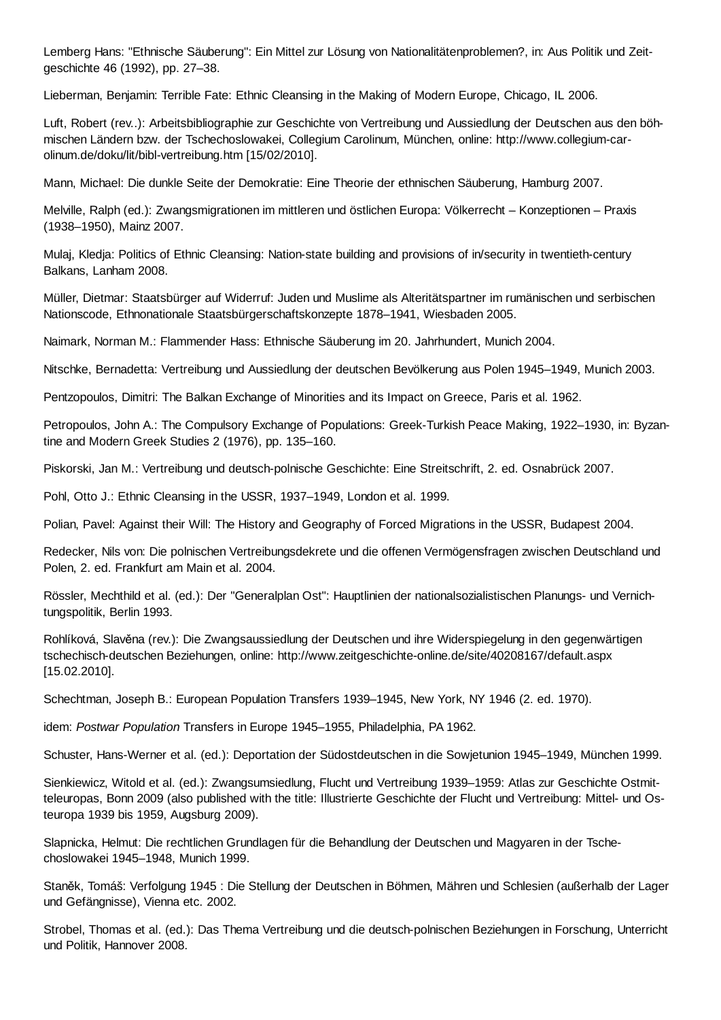Lemberg Hans: "Ethnische Säuberung": Ein Mittel zur Lösung von Nationalitätenproblemen?, in: Aus Politik und Zeitgeschichte 46 (1992), pp. 27–38.

Lieberman, Benjamin: Terrible Fate: Ethnic Cleansing in the Making of Modern Europe, Chicago, IL 2006.

Luft, Robert (rev..): Arbeitsbibliographie zur Geschichte von Vertreibung und Aussiedlung der Deutschen aus den böhmischen Ländern bzw. der Tschechoslowakei, Collegium Carolinum, München, online: http://www.collegium-carolinum.de/doku/lit/bibl-vertreibung.htm [15/02/2010].

Mann, Michael: Die dunkle Seite der Demokratie: Eine Theorie der ethnischen Säuberung, Hamburg 2007.

Melville, Ralph (ed.): Zwangsmigrationen im mittleren und östlichen Europa: Völkerrecht – Konzeptionen – Praxis (1938–1950), Mainz 2007.

Mulaj, Kledja: Politics of Ethnic Cleansing: Nation-state building and provisions of in/security in twentieth-century Balkans, Lanham 2008.

Müller, Dietmar: Staatsbürger auf Widerruf: Juden und Muslime als Alteritätspartner im rumänischen und serbischen Nationscode, Ethnonationale Staatsbürgerschaftskonzepte 1878–1941, Wiesbaden 2005.

Naimark, Norman M.: Flammender Hass: Ethnische Säuberung im 20. Jahrhundert, Munich 2004.

Nitschke, Bernadetta: Vertreibung und Aussiedlung der deutschen Bevölkerung aus Polen 1945–1949, Munich 2003.

Pentzopoulos, Dimitri: The Balkan Exchange of Minorities and its Impact on Greece, Paris et al. 1962.

Petropoulos, John A.: The Compulsory Exchange of Populations: Greek-Turkish Peace Making, 1922–1930, in: Byzantine and Modern Greek Studies 2 (1976), pp. 135–160.

Piskorski, Jan M.: Vertreibung und deutsch-polnische Geschichte: Eine Streitschrift, 2. ed. Osnabrück 2007.

Pohl, Otto J.: Ethnic Cleansing in the USSR, 1937–1949, London et al. 1999.

Polian, Pavel: Against their Will: The History and Geography of Forced Migrations in the USSR, Budapest 2004.

Redecker, Nils von: Die polnischen Vertreibungsdekrete und die offenen Vermögensfragen zwischen Deutschland und Polen, 2. ed. Frankfurt am Main et al. 2004.

Rössler, Mechthild et al. (ed.): Der "Generalplan Ost": Hauptlinien der nationalsozialistischen Planungs- und Vernichtungspolitik, Berlin 1993.

Rohlíková, Slavěna (rev.): Die Zwangsaussiedlung der Deutschen und ihre Widerspiegelung in den gegenwärtigen tschechisch-deutschen Beziehungen, online: http://www.zeitgeschichte-online.de/site/40208167/default.aspx [15.02.2010].

Schechtman, Joseph B.: European Population Transfers 1939–1945, New York, NY 1946 (2. ed. 1970).

idem: *Postwar Population* Transfers in Europe 1945–1955, Philadelphia, PA 1962.

Schuster, Hans-Werner et al. (ed.): Deportation der Südostdeutschen in die Sowjetunion 1945–1949, München 1999.

Sienkiewicz, Witold et al. (ed.): Zwangsumsiedlung, Flucht und Vertreibung 1939–1959: Atlas zur Geschichte Ostmitteleuropas, Bonn 2009 (also published with the title: Illustrierte Geschichte der Flucht und Vertreibung: Mittel- und Osteuropa 1939 bis 1959, Augsburg 2009).

Slapnicka, Helmut: Die rechtlichen Grundlagen für die Behandlung der Deutschen und Magyaren in der Tschechoslowakei 1945–1948, Munich 1999.

StanČk, Tomáš: Verfolgung 1945 : Die Stellung der Deutschen in Böhmen, Mähren und Schlesien (außerhalb der Lager und Gefängnisse), Vienna etc. 2002.

Strobel, Thomas et al. (ed.): Das Thema Vertreibung und die deutsch-polnischen Beziehungen in Forschung, Unterricht und Politik, Hannover 2008.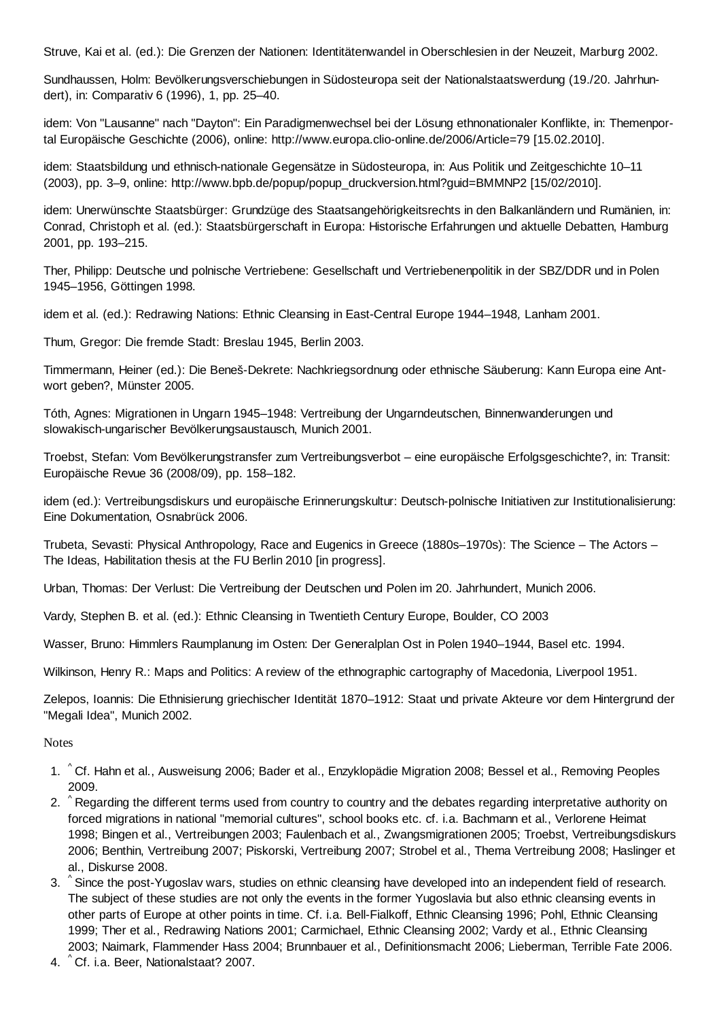Struve, Kai et al. (ed.): Die Grenzen der Nationen: Identitätenwandel in Oberschlesien in der Neuzeit, Marburg 2002.

Sundhaussen, Holm: Bevölkerungsverschiebungen in Südosteuropa seit der Nationalstaatswerdung (19./20. Jahrhundert), in: Comparativ 6 (1996), 1, pp. 25–40.

idem: Von "Lausanne" nach "Dayton": Ein Paradigmenwechsel bei der Lösung ethnonationaler Konflikte, in: Themenportal Europäische Geschichte (2006), online: http://www.europa.clio-online.de/2006/Article=79 [15.02.2010].

idem: Staatsbildung und ethnisch-nationale Gegensätze in Südosteuropa, in: Aus Politik und Zeitgeschichte 10–11 (2003), pp. 3–9, online: http://www.bpb.de/popup/popup\_druckversion.html?guid=BMMNP2 [15/02/2010].

idem: Unerwünschte Staatsbürger: Grundzüge des Staatsangehörigkeitsrechts in den Balkanländern und Rumänien, in: Conrad, Christoph et al. (ed.): Staatsbürgerschaft in Europa: Historische Erfahrungen und aktuelle Debatten, Hamburg 2001, pp. 193–215.

Ther, Philipp: Deutsche und polnische Vertriebene: Gesellschaft und Vertriebenenpolitik in der SBZ/DDR und in Polen 1945–1956, Göttingen 1998.

idem et al. (ed.): Redrawing Nations: Ethnic Cleansing in East-Central Europe 1944–1948*,* Lanham 2001.

Thum, Gregor: Die fremde Stadt: Breslau 1945, Berlin 2003.

Timmermann, Heiner (ed.): Die Beneš-Dekrete: Nachkriegsordnung oder ethnische Säuberung: Kann Europa eine Antwort geben?, Münster 2005.

Tóth, Agnes: Migrationen in Ungarn 1945–1948: Vertreibung der Ungarndeutschen, Binnenwanderungen und slowakisch-ungarischer Bevölkerungsaustausch, Munich 2001.

Troebst, Stefan: Vom Bevölkerungstransfer zum Vertreibungsverbot – eine europäische Erfolgsgeschichte?, in: Transit: Europäische Revue 36 (2008/09), pp. 158–182.

idem (ed.): Vertreibungsdiskurs und europäische Erinnerungskultur: Deutsch-polnische Initiativen zur Institutionalisierung: Eine Dokumentation, Osnabrück 2006.

Trubeta, Sevasti: Physical Anthropology, Race and Eugenics in Greece (1880s–1970s): The Science – The Actors – The Ideas, Habilitation thesis at the FU Berlin 2010 [in progress].

Urban, Thomas: Der Verlust: Die Vertreibung der Deutschen und Polen im 20. Jahrhundert, Munich 2006.

Vardy, Stephen B. et al. (ed.): Ethnic Cleansing in Twentieth Century Europe, Boulder, CO 2003

Wasser, Bruno: Himmlers Raumplanung im Osten: Der Generalplan Ost in Polen 1940–1944, Basel etc. 1994.

Wilkinson, Henry R.: Maps and Politics: A review of the ethnographic cartography of Macedonia, Liverpool 1951.

Zelepos, Ioannis: Die Ethnisierung griechischer Identität 1870–1912: Staat und private Akteure vor dem Hintergrund der "Megali Idea", Munich 2002.

Notes

- 1. ^ Cf. Hahn et al., Ausweisung 2006; Bader et al., Enzyklopädie Migration 2008; Bessel et al., Removing Peoples 2009.
- 2. ^ Regarding the different terms used from country to country and the debates regarding interpretative authority on forced migrations in national "memorial cultures", school books etc. cf. i.a. Bachmann et al., Verlorene Heimat 1998; Bingen et al., Vertreibungen 2003; Faulenbach et al., Zwangsmigrationen 2005; Troebst, Vertreibungsdiskurs 2006; Benthin, Vertreibung 2007; Piskorski, Vertreibung 2007; Strobel et al., Thema Vertreibung 2008; Haslinger et al., Diskurse 2008.
- 3. ^ Since the post-Yugoslav wars, studies on ethnic cleansing have developed into an independent field of research. The subject of these studies are not only the events in the former Yugoslavia but also ethnic cleansing events in other parts of Europe at other points in time. Cf. i.a. Bell-Fialkoff, Ethnic Cleansing 1996; Pohl, Ethnic Cleansing 1999; Ther et al., Redrawing Nations 2001; Carmichael, Ethnic Cleansing 2002; Vardy et al., Ethnic Cleansing 2003; Naimark, Flammender Hass 2004; Brunnbauer et al., Definitionsmacht 2006; Lieberman, Terrible Fate 2006.
- ^ 4. Cf. i.a. Beer, Nationalstaat? 2007.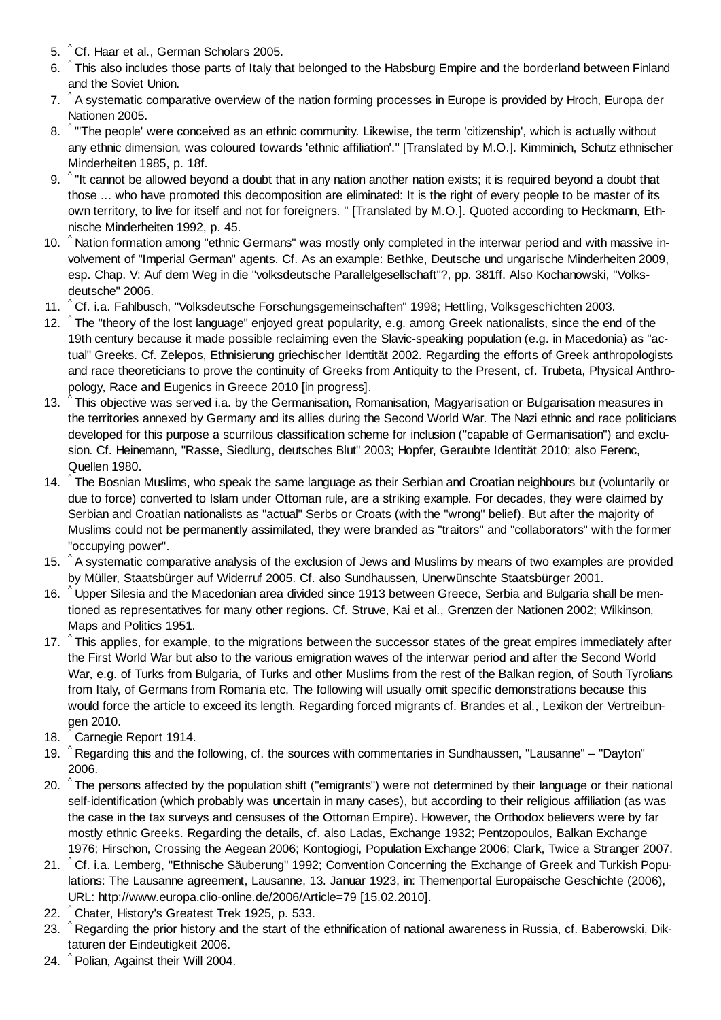- 5. ^Cf. Haar et al., German Scholars 2005.
- 6. ^This also includes those parts of Italy that belonged to the Habsburg Empire and the borderland between Finland and the Soviet Union.
- 7. ^ A systematic comparative overview of the nation forming processes in Europe is provided by Hroch, Europa der Nationen 2005.
- 8. ^ "The people' were conceived as an ethnic community. Likewise, the term 'citizenship', which is actually without any ethnic dimension, was coloured towards 'ethnic affiliation'." [Translated by M.O.]. Kimminich, Schutz ethnischer Minderheiten 1985, p. 18f.
- 9.  $\degree$  "It cannot be allowed beyond a doubt that in any nation another nation exists; it is required beyond a doubt that those ... who have promoted this decomposition are eliminated: It is the right of every people to be master of its own territory, to live for itself and not for foreigners. " [Translated by M.O.]. Quoted according to Heckmann, Ethnische Minderheiten 1992, p. 45.
- 10. ^ Nation formation among "ethnic Germans" was mostly only completed in the interwar period and with massive involvement of "Imperial German" agents. Cf. As an example: Bethke, Deutsche und ungarische Minderheiten 2009, esp. Chap. V: Auf dem Weg in die "volksdeutsche Parallelgesellschaft"?, pp. 381ff. Also Kochanowski, "Volksdeutsche" 2006.
- 11. <sup>^</sup> Cf. i.a. Fahlbusch, "Volksdeutsche Forschungsgemeinschaften" 1998; Hettling, Volksgeschichten 2003.
- 12. ^ The "theory of the lost language" enjoyed great popularity, e.g. among Greek nationalists, since the end of the 19th century because it made possible reclaiming even the Slavic-speaking population (e.g. in Macedonia) as "actual" Greeks. Cf. Zelepos, Ethnisierung griechischer Identität 2002. Regarding the efforts of Greek anthropologists and race theoreticians to prove the continuity of Greeks from Antiquity to the Present, cf. Trubeta, Physical Anthropology, Race and Eugenics in Greece 2010 [in progress].
- $\hat{}$  This objective was served i.a. by the Germanisation, Romanisation, Magyarisation or Bulgarisation measures in the territories annexed by Germany and its allies during the Second World War. The Nazi ethnic and race politicians developed for this purpose a scurrilous classification scheme for inclusion ("capable of Germanisation") and exclusion. Cf. Heinemann, "Rasse, Siedlung, deutsches Blut" 2003; Hopfer, Geraubte Identität 2010; also Ferenc, Quellen 1980. 13.
- 14. ^ The Bosnian Muslims, who speak the same language as their Serbian and Croatian neighbours but (voluntarily or due to force) converted to Islam under Ottoman rule, are a striking example. For decades, they were claimed by Serbian and Croatian nationalists as "actual" Serbs or Croats (with the "wrong" belief). But after the majority of Muslims could not be permanently assimilated, they were branded as "traitors" and "collaborators" with the former "occupying power".
- 15. ^ A systematic comparative analysis of the exclusion of Jews and Muslims by means of two examples are provided by Müller, Staatsbürger auf Widerruf 2005. Cf. also Sundhaussen, Unerwünschte Staatsbürger 2001.
- 16. ^ Upper Silesia and the Macedonian area divided since 1913 between Greece, Serbia and Bulgaria shall be mentioned as representatives for many other regions. Cf. Struve, Kai et al., Grenzen der Nationen 2002; Wilkinson, Maps and Politics 1951.
- 17. ^ This applies, for example, to the migrations between the successor states of the great empires immediately after the First World War but also to the various emigration waves of the interwar period and after the Second World War, e.g. of Turks from Bulgaria, of Turks and other Muslims from the rest of the Balkan region, of South Tyrolians from Italy, of Germans from Romania etc. The following will usually omit specific demonstrations because this would force the article to exceed its length. Regarding forced migrants cf. Brandes et al., Lexikon der Vertreibungen 2010.
- 18. Carnegie Report 1914.
- 19. ^ Regarding this and the following, cf. the sources with commentaries in Sundhaussen, "Lausanne" "Dayton" 2006.
- 20. ^The persons affected by the population shift ("emigrants") were not determined by their language or their national self-identification (which probably was uncertain in many cases), but according to their religious affiliation (as was the case in the tax surveys and censuses of the Ottoman Empire). However, the Orthodox believers were by far mostly ethnic Greeks. Regarding the details, cf. also Ladas, Exchange 1932; Pentzopoulos, Balkan Exchange 1976; Hirschon, Crossing the Aegean 2006; Kontogiogi, Population Exchange 2006; Clark, Twice a Stranger 2007.
- 21. ^ Cf. i.a. Lemberg, "Ethnische Säuberung" 1992; Convention Concerning the Exchange of Greek and Turkish Populations: The Lausanne agreement, Lausanne, 13. Januar 1923, in: Themenportal Europäische Geschichte (2006), URL: http://www.europa.clio-online.de/2006/Article=79 [15.02.2010].
- 22. ^Chater, History's Greatest Trek 1925, p. 533.
- 23. ^ Regarding the prior history and the start of the ethnification of national awareness in Russia, cf. Baberowski, Diktaturen der Eindeutigkeit 2006.
- 24. ^ Polian, Against their Will 2004.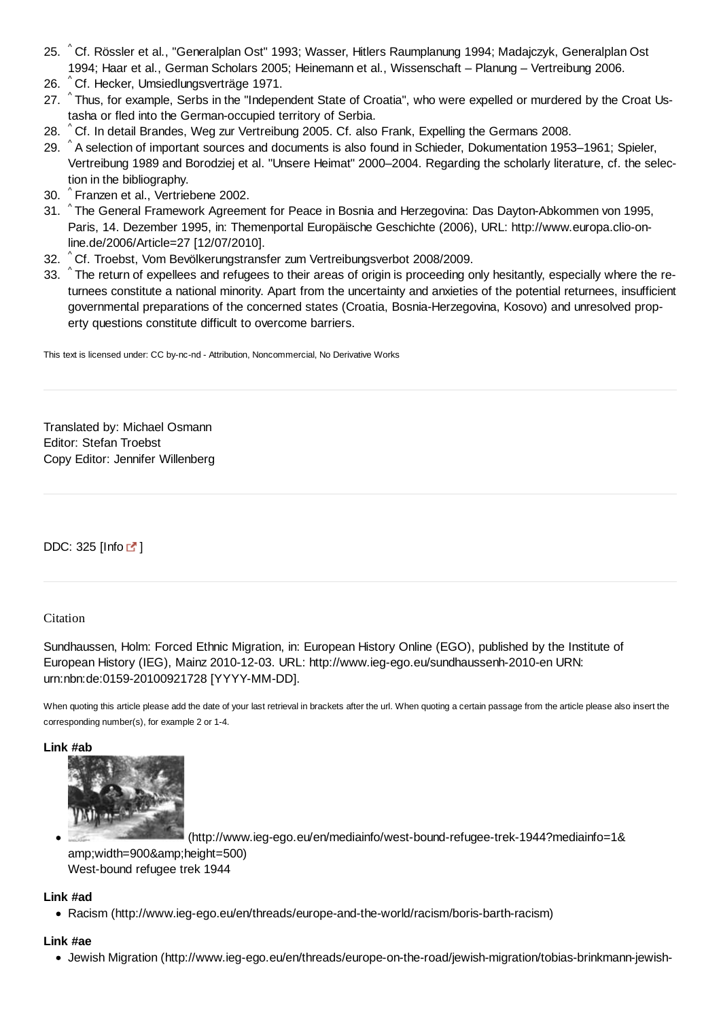- 25. ^Cf. Rössler et al., "Generalplan Ost" 1993; Wasser, Hitlers Raumplanung 1994; Madajczyk, Generalplan Ost 1994; Haar et al., German Scholars 2005; Heinemann et al., Wissenschaft – Planung – Vertreibung 2006.
- 26. <sup>^</sup> Cf. Hecker, Umsiedlungsverträge 1971.
- 27. ^ Thus, for example, Serbs in the "Independent State of Croatia", who were expelled or murdered by the Croat Ustasha or fled into the German-occupied territory of Serbia.
- 28. ^ Cf. In detail Brandes, Weg zur Vertreibung 2005. Cf. also Frank, Expelling the Germans 2008.
- 29. ^A selection of important sources and documents is also found in Schieder, Dokumentation 1953–1961; Spieler, Vertreibung 1989 and Borodziej et al. "Unsere Heimat" 2000–2004. Regarding the scholarly literature, cf. the selection in the bibliography.
- ^ 30. Franzen et al., Vertriebene 2002.
- 31. ^The General Framework Agreement for Peace in Bosnia and Herzegovina: Das Dayton-Abkommen von 1995, Paris, 14. Dezember 1995, in: Themenportal Europäische Geschichte (2006), URL: http://www.europa.clio-online.de/2006/Article=27 [12/07/2010].
- ^ 32. Cf. Troebst, Vom Bevölkerungstransfer zum Vertreibungsverbot 2008/2009.
- 33. ^ The return of expellees and refugees to their areas of origin is proceeding only hesitantly, especially where the returnees constitute a national minority. Apart from the uncertainty and anxieties of the potential returnees, insufficient governmental preparations of the concerned states (Croatia, Bosnia-Herzegovina, Kosovo) and unresolved property questions constitute difficult to overcome barriers.

This text is licensed under: CC by-nc-nd - Attribution, Noncommercial, No Derivative Works

Translated by: Michael Osmann Editor: Stefan Troebst Copy Editor: Jennifer Willenberg

DDC: 325 [Info  $\mathbb{Z}$ ]

#### **Citation**

Sundhaussen, Holm: Forced Ethnic Migration, in: European History Online (EGO), published by the Institute of European History (IEG), Mainz 2010-12-03. URL: http://www.ieg-ego.eu/sundhaussenh-2010-en URN: urn:nbn:de:0159-20100921728 [YYYY-MM-DD].

When quoting this article please add the date of your last retrieval in brackets after the url. When quoting a certain passage from the article please also insert the corresponding number(s), for example 2 or 1-4.

**Link #ab**



 (http://www.ieg-ego.eu/en/mediainfo/west-bound-refugee-trek-1944?mediainfo=1& amp;width=900&height=500) West-bound refugee trek 1944

#### **Link #ad**

Racism (http://www.ieg-ego.eu/en/threads/europe-and-the-world/racism/boris-barth-racism)

#### **Link #ae**

Jewish Migration (http://www.ieg-ego.eu/en/threads/europe-on-the-road/jewish-migration/tobias-brinkmann-jewish-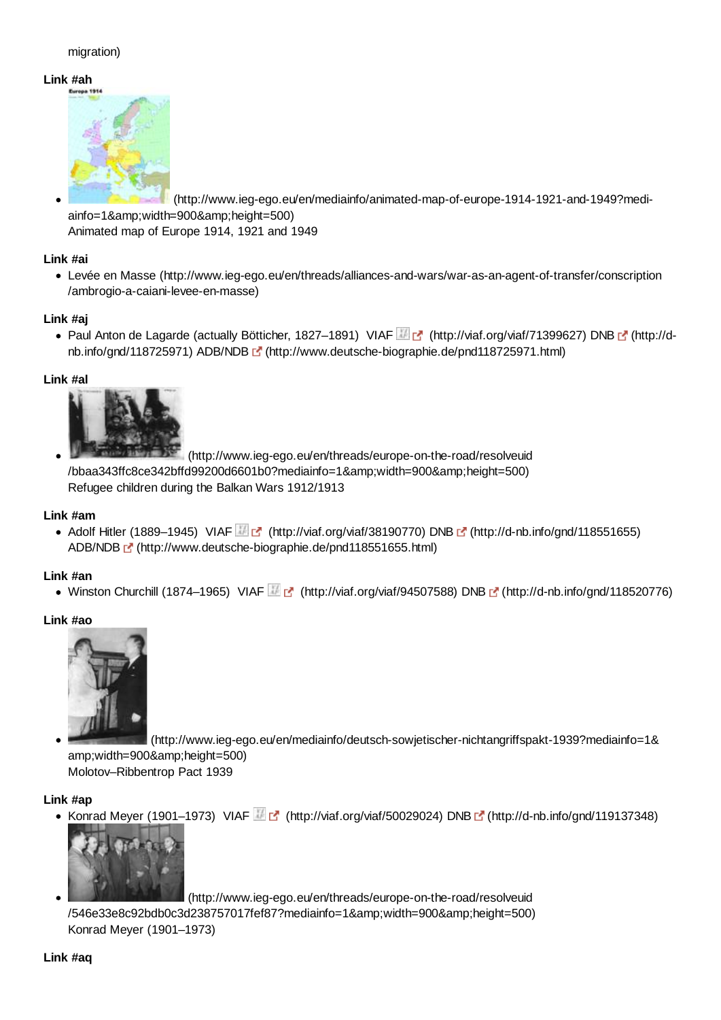## migration)

#### **Link #ah**



 (http://www.ieg-ego.eu/en/mediainfo/animated-map-of-europe-1914-1921-and-1949?mediainfo=1& width=900& height=500) Animated map of Europe 1914, 1921 and 1949

## **Link #ai**

Levée en Masse (http://www.ieg-ego.eu/en/threads/alliances-and-wars/war-as-an-agent-of-transfer/conscription /ambrogio-a-caiani-levee-en-masse)

## **Link #aj**

• Paul Anton de Lagarde (actually Bötticher, 1827–1891) VIAF (http://viaf.org/viaf/71399627) DNB [ (http://dnb.info/gnd/118725971) ADB/NDB (http://www.deutsche-biographie.de/pnd118725971.html)

## **Link #al**



 (http://www.ieg-ego.eu/en/threads/europe-on-the-road/resolveuid /bbaa343ffc8ce342bffd99200d6601b0?mediainfo=1&width=900&height=500) Refugee children during the Balkan Wars 1912/1913

#### **Link #am**

• Adolf Hitler (1889–1945) VIAF  $\mathbb{F}$  (http://viaf.org/viaf/38190770) DNB  $\mathbb{F}$  (http://d-nb.info/gnd/118551655) ADB/NDB (http://www.deutsche-biographie.de/pnd118551655.html)

#### **Link #an**

• Winston Churchill (1874–1965) VIAF **(http://viaf.org/viaf/94507588)** DNB [ (http://d-nb.info/gnd/118520776)

#### **Link #ao**



 (http://www.ieg-ego.eu/en/mediainfo/deutsch-sowjetischer-nichtangriffspakt-1939?mediainfo=1& amp;width=900&height=500)

Molotov–Ribbentrop Pact 1939

#### **Link #ap**

Konrad Meyer (1901–1973) VIAF  $\mathbb{F}$  (http://viaf.org/viaf/50029024) DNB  $\mathbb{F}$  (http://d-nb.info/gnd/119137348)



(http://www.ieg-ego.eu/en/threads/europe-on-the-road/resolveuid

/546e33e8c92bdb0c3d238757017fef87?mediainfo=1&width=900&height=500) Konrad Meyer (1901–1973)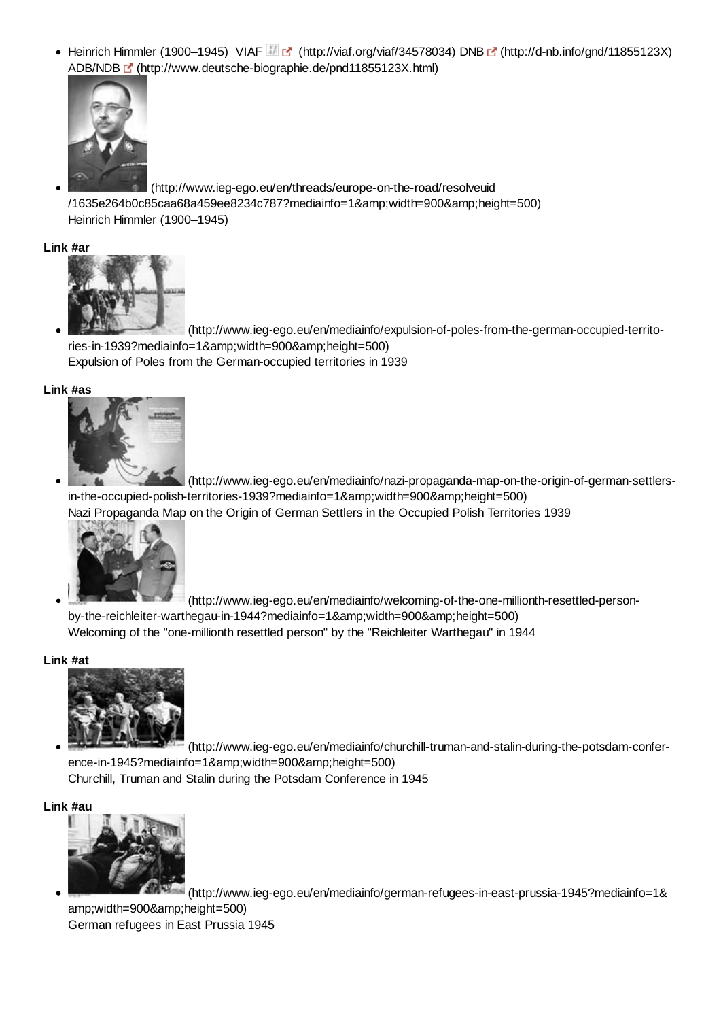• Heinrich Himmler (1900–1945) VIAF (http://viaf.org/viaf/34578034) DNB [ (http://d-nb.info/gnd/11855123X) ADB/NDB (http://www.deutsche-biographie.de/pnd11855123X.html)



 (http://www.ieg-ego.eu/en/threads/europe-on-the-road/resolveuid /1635e264b0c85caa68a459ee8234c787?mediainfo=1&width=900&height=500) Heinrich Himmler (1900–1945)

#### **Link #ar**



 (http://www.ieg-ego.eu/en/mediainfo/expulsion-of-poles-from-the-german-occupied-territories-in-1939?mediainfo=1&width=900&height=500) Expulsion of Poles from the German-occupied territories in 1939

#### **Link #as**



 (http://www.ieg-ego.eu/en/mediainfo/nazi-propaganda-map-on-the-origin-of-german-settlersin-the-occupied-polish-territories-1939?mediainfo=1&width=900&height=500) Nazi Propaganda Map on the Origin of German Settlers in the Occupied Polish Territories 1939



 (http://www.ieg-ego.eu/en/mediainfo/welcoming-of-the-one-millionth-resettled-personby-the-reichleiter-warthegau-in-1944?mediainfo=1&width=900&height=500)

Welcoming of the "one-millionth resettled person" by the "Reichleiter Warthegau" in 1944

#### **Link #at**



 (http://www.ieg-ego.eu/en/mediainfo/churchill-truman-and-stalin-during-the-potsdam-conference-in-1945?mediainfo=1&width=900&height=500)

Churchill, Truman and Stalin during the Potsdam Conference in 1945

#### **Link #au**



 (http://www.ieg-ego.eu/en/mediainfo/german-refugees-in-east-prussia-1945?mediainfo=1& amp;width=900&height=500) German refugees in East Prussia 1945